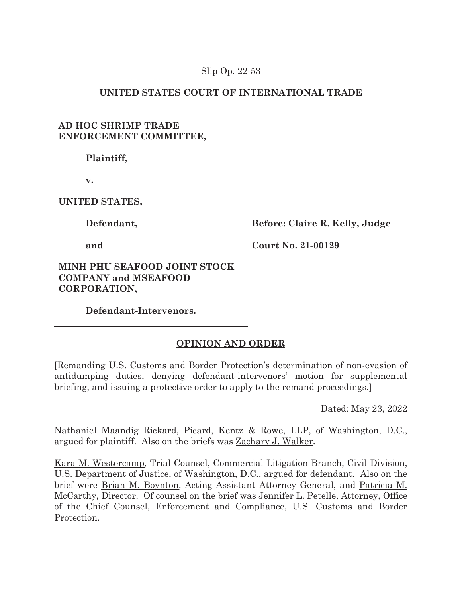## Slip Op. 22-53

# **UNITED STATES COURT OF INTERNATIONAL TRADE**

# **AD HOC SHRIMP TRADE ENFORCEMENT COMMITTEE,**

 **Plaintiff,** 

 **v.** 

**UNITED STATES,** 

 **Defendant,** 

 **and** 

## **MINH PHU SEAFOOD JOINT STOCK COMPANY and MSEAFOOD CORPORATION,**

**Before: Claire R. Kelly, Judge** 

**Court No. 21-00129**

 **Defendant-Intervenors.** 

# **OPINION AND ORDER**

[Remanding U.S. Customs and Border Protection's determination of non-evasion of antidumping duties, denying defendant-intervenors' motion for supplemental briefing, and issuing a protective order to apply to the remand proceedings.]

Dated: May 23, 2022

Nathaniel Maandig Rickard, Picard, Kentz & Rowe, LLP, of Washington, D.C., argued for plaintiff. Also on the briefs was Zachary J. Walker.

Kara M. Westercamp, Trial Counsel, Commercial Litigation Branch, Civil Division, U.S. Department of Justice, of Washington, D.C., argued for defendant. Also on the brief were Brian M. Boynton, Acting Assistant Attorney General, and Patricia M. McCarthy, Director. Of counsel on the brief was Jennifer L. Petelle, Attorney, Office of the Chief Counsel, Enforcement and Compliance, U.S. Customs and Border Protection.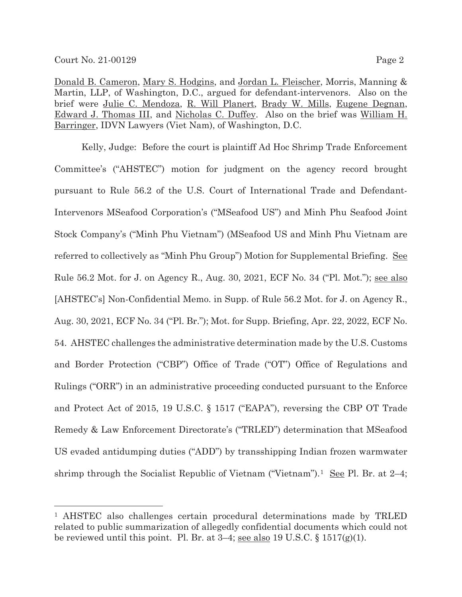Donald B. Cameron, Mary S. Hodgins, and Jordan L. Fleischer, Morris, Manning & Martin, LLP, of Washington, D.C., argued for defendant-intervenors. Also on the brief were Julie C. Mendoza, R. Will Planert, Brady W. Mills, Eugene Degnan, Edward J. Thomas III, and Nicholas C. Duffey. Also on the brief was William H. Barringer, IDVN Lawyers (Viet Nam), of Washington, D.C.

Kelly, Judge: Before the court is plaintiff Ad Hoc Shrimp Trade Enforcement Committee's ("AHSTEC") motion for judgment on the agency record brought pursuant to Rule 56.2 of the U.S. Court of International Trade and Defendant-Intervenors MSeafood Corporation's ("MSeafood US") and Minh Phu Seafood Joint Stock Company's ("Minh Phu Vietnam") (MSeafood US and Minh Phu Vietnam are referred to collectively as "Minh Phu Group") Motion for Supplemental Briefing. See Rule 56.2 Mot. for J. on Agency R., Aug. 30, 2021, ECF No. 34 ("Pl. Mot."); see also [AHSTEC's] Non-Confidential Memo. in Supp. of Rule 56.2 Mot. for J. on Agency R., Aug. 30, 2021, ECF No. 34 ("Pl. Br."); Mot. for Supp. Briefing, Apr. 22, 2022, ECF No. 54. AHSTEC challenges the administrative determination made by the U.S. Customs and Border Protection ("CBP") Office of Trade ("OT") Office of Regulations and Rulings ("ORR") in an administrative proceeding conducted pursuant to the Enforce and Protect Act of 2015, 19 U.S.C. § 1517 ("EAPA"), reversing the CBP OT Trade Remedy & Law Enforcement Directorate's ("TRLED") determination that MSeafood US evaded antidumping duties ("ADD") by transshipping Indian frozen warmwater shrimp through the Socialist Republic of Vietnam ("Vietnam").<sup>1</sup> See Pl. Br. at  $2-4$ ;

<sup>1</sup> AHSTEC also challenges certain procedural determinations made by TRLED related to public summarization of allegedly confidential documents which could not be reviewed until this point. Pl. Br. at  $3-4$ ; <u>see also</u> 19 U.S.C. § 1517(g)(1).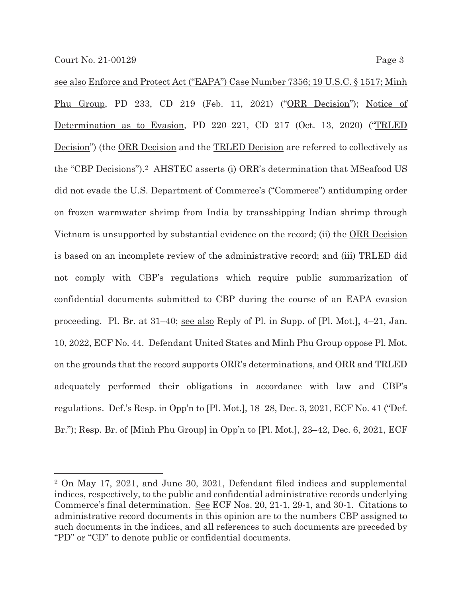see also Enforce and Protect Act ("EAPA") Case Number 7356; 19 U.S.C. § 1517; Minh Phu Group, PD 233, CD 219 (Feb. 11, 2021) ("ORR Decision"); Notice of Determination as to Evasion, PD 220–221, CD 217 (Oct. 13, 2020) ("TRLED Decision") (the ORR Decision and the TRLED Decision are referred to collectively as the "CBP Decisions").2 AHSTEC asserts (i) ORR's determination that MSeafood US did not evade the U.S. Department of Commerce's ("Commerce") antidumping order on frozen warmwater shrimp from India by transshipping Indian shrimp through Vietnam is unsupported by substantial evidence on the record; (ii) the <u>ORR Decision</u> is based on an incomplete review of the administrative record; and (iii) TRLED did not comply with CBP's regulations which require public summarization of confidential documents submitted to CBP during the course of an EAPA evasion proceeding. Pl. Br. at 31–40; see also Reply of Pl. in Supp. of [Pl. Mot.], 4–21, Jan. 10, 2022, ECF No. 44. Defendant United States and Minh Phu Group oppose Pl. Mot. on the grounds that the record supports ORR's determinations, and ORR and TRLED adequately performed their obligations in accordance with law and CBP's regulations. Def.'s Resp. in Opp'n to [Pl. Mot.], 18–28, Dec. 3, 2021, ECF No. 41 ("Def. Br."); Resp. Br. of [Minh Phu Group] in Opp'n to [Pl. Mot.], 23–42, Dec. 6, 2021, ECF

<sup>2</sup> On May 17, 2021, and June 30, 2021, Defendant filed indices and supplemental indices, respectively, to the public and confidential administrative records underlying Commerce's final determination. See ECF Nos. 20, 21-1, 29-1, and 30-1. Citations to administrative record documents in this opinion are to the numbers CBP assigned to such documents in the indices, and all references to such documents are preceded by "PD" or "CD" to denote public or confidential documents.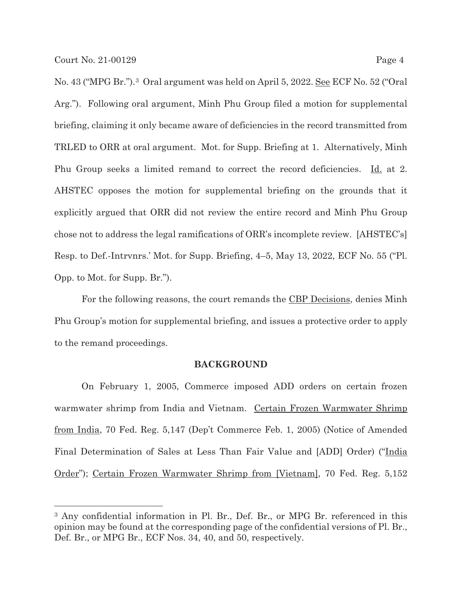No. 43 ("MPG Br.").3 Oral argument was held on April 5, 2022. See ECF No. 52 ("Oral Arg."). Following oral argument, Minh Phu Group filed a motion for supplemental briefing, claiming it only became aware of deficiencies in the record transmitted from TRLED to ORR at oral argument. Mot. for Supp. Briefing at 1. Alternatively, Minh Phu Group seeks a limited remand to correct the record deficiencies. Id. at 2. AHSTEC opposes the motion for supplemental briefing on the grounds that it explicitly argued that ORR did not review the entire record and Minh Phu Group chose not to address the legal ramifications of ORR's incomplete review. [AHSTEC's] Resp. to Def.-Intrvnrs.' Mot. for Supp. Briefing, 4–5, May 13, 2022, ECF No. 55 ("Pl. Opp. to Mot. for Supp. Br.").

For the following reasons, the court remands the CBP Decisions, denies Minh Phu Group's motion for supplemental briefing, and issues a protective order to apply to the remand proceedings.

#### **BACKGROUND**

 On February 1, 2005, Commerce imposed ADD orders on certain frozen warmwater shrimp from India and Vietnam. Certain Frozen Warmwater Shrimp from India, 70 Fed. Reg. 5,147 (Dep't Commerce Feb. 1, 2005) (Notice of Amended Final Determination of Sales at Less Than Fair Value and [ADD] Order) ("India Order"); Certain Frozen Warmwater Shrimp from [Vietnam], 70 Fed. Reg. 5,152

<sup>&</sup>lt;sup>3</sup> Any confidential information in Pl. Br., Def. Br., or MPG Br. referenced in this opinion may be found at the corresponding page of the confidential versions of Pl. Br., Def. Br., or MPG Br., ECF Nos. 34, 40, and 50, respectively.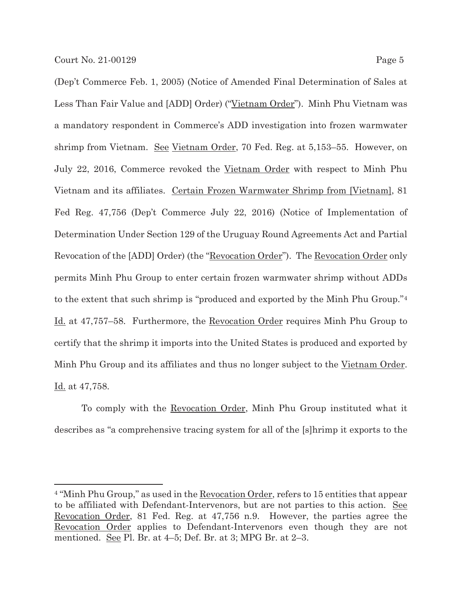(Dep't Commerce Feb. 1, 2005) (Notice of Amended Final Determination of Sales at Less Than Fair Value and [ADD] Order) ("Vietnam Order"). Minh Phu Vietnam was a mandatory respondent in Commerce's ADD investigation into frozen warmwater shrimp from Vietnam. See Vietnam Order, 70 Fed. Reg. at 5,153-55. However, on July 22, 2016, Commerce revoked the Vietnam Order with respect to Minh Phu Vietnam and its affiliates. Certain Frozen Warmwater Shrimp from [Vietnam], 81 Fed Reg. 47,756 (Dep't Commerce July 22, 2016) (Notice of Implementation of Determination Under Section 129 of the Uruguay Round Agreements Act and Partial Revocation of the [ADD] Order) (the "Revocation Order"). The Revocation Order only permits Minh Phu Group to enter certain frozen warmwater shrimp without ADDs to the extent that such shrimp is "produced and exported by the Minh Phu Group."4 Id. at 47,757–58. Furthermore, the Revocation Order requires Minh Phu Group to certify that the shrimp it imports into the United States is produced and exported by Minh Phu Group and its affiliates and thus no longer subject to the Vietnam Order. Id. at 47,758.

 To comply with the Revocation Order, Minh Phu Group instituted what it describes as "a comprehensive tracing system for all of the [s]hrimp it exports to the

<sup>4 &</sup>quot;Minh Phu Group," as used in the Revocation Order, refers to 15 entities that appear to be affiliated with Defendant-Intervenors, but are not parties to this action. See Revocation Order, 81 Fed. Reg. at 47,756 n.9. However, the parties agree the Revocation Order applies to Defendant-Intervenors even though they are not mentioned. <u>See</u> Pl. Br. at  $4-5$ ; Def. Br. at 3; MPG Br. at  $2-3$ .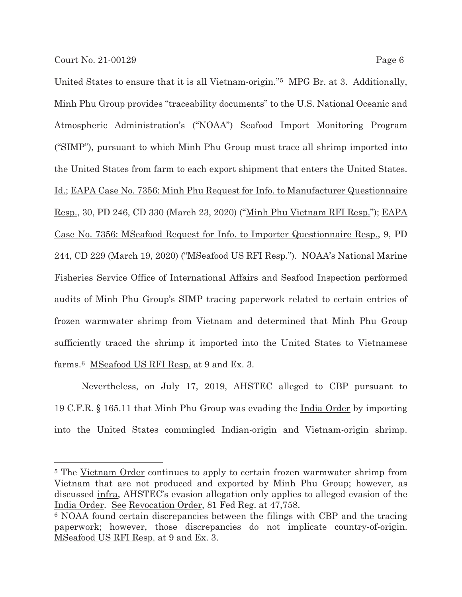United States to ensure that it is all Vietnam-origin."5 MPG Br. at 3. Additionally, Minh Phu Group provides "traceability documents" to the U.S. National Oceanic and Atmospheric Administration's ("NOAA") Seafood Import Monitoring Program ("SIMP"), pursuant to which Minh Phu Group must trace all shrimp imported into the United States from farm to each export shipment that enters the United States. Id.; EAPA Case No. 7356: Minh Phu Request for Info. to Manufacturer Questionnaire Resp., 30, PD 246, CD 330 (March 23, 2020) ("Minh Phu Vietnam RFI Resp."); EAPA Case No. 7356: MSeafood Request for Info. to Importer Questionnaire Resp., 9, PD 244, CD 229 (March 19, 2020) ("MSeafood US RFI Resp."). NOAA's National Marine Fisheries Service Office of International Affairs and Seafood Inspection performed audits of Minh Phu Group's SIMP tracing paperwork related to certain entries of frozen warmwater shrimp from Vietnam and determined that Minh Phu Group sufficiently traced the shrimp it imported into the United States to Vietnamese farms.6 MSeafood US RFI Resp. at 9 and Ex. 3.

 Nevertheless, on July 17, 2019, AHSTEC alleged to CBP pursuant to 19 C.F.R. § 165.11 that Minh Phu Group was evading the India Order by importing into the United States commingled Indian-origin and Vietnam-origin shrimp.

<sup>&</sup>lt;sup>5</sup> The Vietnam Order continues to apply to certain frozen warmwater shrimp from Vietnam that are not produced and exported by Minh Phu Group; however, as discussed infra, AHSTEC's evasion allegation only applies to alleged evasion of the India Order. See Revocation Order, 81 Fed Reg. at 47,758.

<sup>6</sup> NOAA found certain discrepancies between the filings with CBP and the tracing paperwork; however, those discrepancies do not implicate country-of-origin. MSeafood US RFI Resp. at 9 and Ex. 3.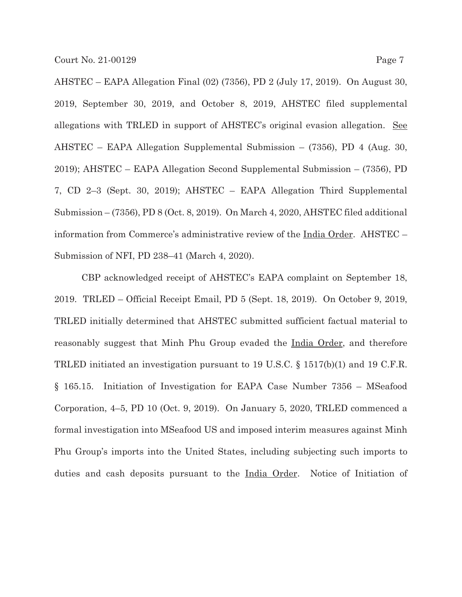AHSTEC – EAPA Allegation Final (02) (7356), PD 2 (July 17, 2019). On August 30, 2019, September 30, 2019, and October 8, 2019, AHSTEC filed supplemental allegations with TRLED in support of AHSTEC's original evasion allegation. See AHSTEC – EAPA Allegation Supplemental Submission – (7356), PD 4 (Aug. 30, 2019); AHSTEC – EAPA Allegation Second Supplemental Submission – (7356), PD 7, CD 2–3 (Sept. 30, 2019); AHSTEC – EAPA Allegation Third Supplemental Submission – (7356), PD 8 (Oct. 8, 2019). On March 4, 2020, AHSTEC filed additional information from Commerce's administrative review of the India Order. AHSTEC – Submission of NFI, PD 238–41 (March 4, 2020).

CBP acknowledged receipt of AHSTEC's EAPA complaint on September 18, 2019. TRLED – Official Receipt Email, PD 5 (Sept. 18, 2019). On October 9, 2019, TRLED initially determined that AHSTEC submitted sufficient factual material to reasonably suggest that Minh Phu Group evaded the India Order, and therefore TRLED initiated an investigation pursuant to 19 U.S.C. § 1517(b)(1) and 19 C.F.R. § 165.15. Initiation of Investigation for EAPA Case Number 7356 – MSeafood Corporation, 4–5, PD 10 (Oct. 9, 2019). On January 5, 2020, TRLED commenced a formal investigation into MSeafood US and imposed interim measures against Minh Phu Group's imports into the United States, including subjecting such imports to duties and cash deposits pursuant to the <u>India Order</u>. Notice of Initiation of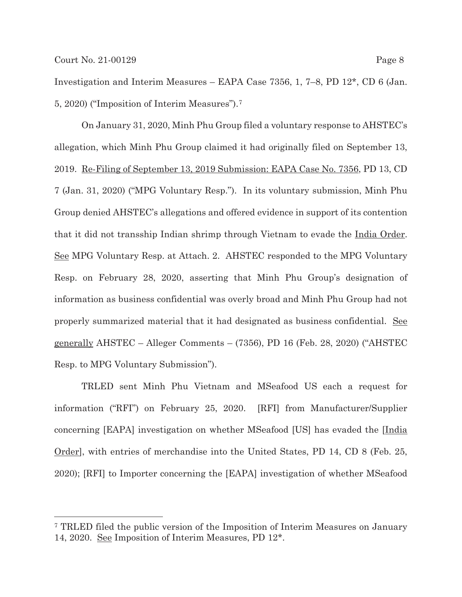Investigation and Interim Measures – EAPA Case 7356, 1, 7–8, PD 12\*, CD 6 (Jan. 5, 2020) ("Imposition of Interim Measures").7

 On January 31, 2020, Minh Phu Group filed a voluntary response to AHSTEC's allegation, which Minh Phu Group claimed it had originally filed on September 13, 2019. Re-Filing of September 13, 2019 Submission: EAPA Case No. 7356, PD 13, CD 7 (Jan. 31, 2020) ("MPG Voluntary Resp."). In its voluntary submission, Minh Phu Group denied AHSTEC's allegations and offered evidence in support of its contention that it did not transship Indian shrimp through Vietnam to evade the <u>India Order</u>. See MPG Voluntary Resp. at Attach. 2. AHSTEC responded to the MPG Voluntary Resp. on February 28, 2020, asserting that Minh Phu Group's designation of information as business confidential was overly broad and Minh Phu Group had not properly summarized material that it had designated as business confidential. See generally AHSTEC – Alleger Comments – (7356), PD 16 (Feb. 28, 2020) ("AHSTEC Resp. to MPG Voluntary Submission").

TRLED sent Minh Phu Vietnam and MSeafood US each a request for information ("RFI") on February 25, 2020. [RFI] from Manufacturer/Supplier concerning [EAPA] investigation on whether MSeafood [US] has evaded the [India Order], with entries of merchandise into the United States, PD 14, CD 8 (Feb. 25, 2020); [RFI] to Importer concerning the [EAPA] investigation of whether MSeafood

<sup>7</sup> TRLED filed the public version of the Imposition of Interim Measures on January 14, 2020. See Imposition of Interim Measures, PD 12\*.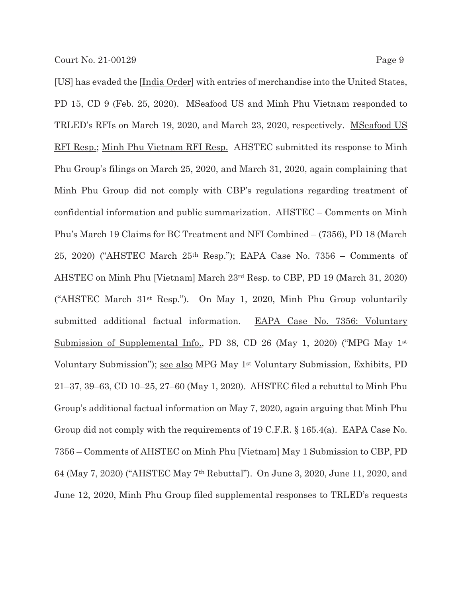[US] has evaded the [India Order] with entries of merchandise into the United States, PD 15, CD 9 (Feb. 25, 2020). MSeafood US and Minh Phu Vietnam responded to TRLED's RFIs on March 19, 2020, and March 23, 2020, respectively. MSeafood US RFI Resp.; Minh Phu Vietnam RFI Resp. AHSTEC submitted its response to Minh Phu Group's filings on March 25, 2020, and March 31, 2020, again complaining that Minh Phu Group did not comply with CBP's regulations regarding treatment of confidential information and public summarization. AHSTEC – Comments on Minh Phu's March 19 Claims for BC Treatment and NFI Combined – (7356), PD 18 (March 25, 2020) ("AHSTEC March 25th Resp."); EAPA Case No. 7356 – Comments of AHSTEC on Minh Phu [Vietnam] March 23rd Resp. to CBP, PD 19 (March 31, 2020) ("AHSTEC March 31st Resp."). On May 1, 2020, Minh Phu Group voluntarily submitted additional factual information. EAPA Case No. 7356: Voluntary Submission of Supplemental Info., PD 38, CD 26 (May 1, 2020) ("MPG May  $1$ <sup>st</sup> Voluntary Submission"); see also MPG May 1st Voluntary Submission, Exhibits, PD 21–37, 39–63, CD 10–25, 27–60 (May 1, 2020). AHSTEC filed a rebuttal to Minh Phu Group's additional factual information on May 7, 2020, again arguing that Minh Phu Group did not comply with the requirements of 19 C.F.R. § 165.4(a). EAPA Case No. 7356 – Comments of AHSTEC on Minh Phu [Vietnam] May 1 Submission to CBP, PD 64 (May 7, 2020) ("AHSTEC May 7th Rebuttal"). On June 3, 2020, June 11, 2020, and June 12, 2020, Minh Phu Group filed supplemental responses to TRLED's requests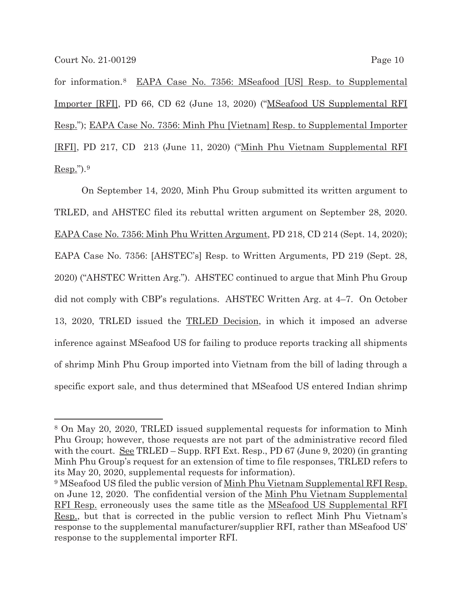for information.8 EAPA Case No. 7356: MSeafood [US] Resp. to Supplemental Importer [RFI], PD 66, CD 62 (June 13, 2020) ("MSeafood US Supplemental RFI Resp."); EAPA Case No. 7356: Minh Phu [Vietnam] Resp. to Supplemental Importer [RFI], PD 217, CD 213 (June 11, 2020) ("Minh Phu Vietnam Supplemental RFI  $Resp."$ ).<sup>9</sup>

 On September 14, 2020, Minh Phu Group submitted its written argument to TRLED, and AHSTEC filed its rebuttal written argument on September 28, 2020. EAPA Case No. 7356: Minh Phu Written Argument, PD 218, CD 214 (Sept. 14, 2020); EAPA Case No. 7356: [AHSTEC's] Resp. to Written Arguments, PD 219 (Sept. 28, 2020) ("AHSTEC Written Arg."). AHSTEC continued to argue that Minh Phu Group did not comply with CBP's regulations. AHSTEC Written Arg. at 4–7. On October 13, 2020, TRLED issued the TRLED Decision, in which it imposed an adverse inference against MSeafood US for failing to produce reports tracking all shipments of shrimp Minh Phu Group imported into Vietnam from the bill of lading through a specific export sale, and thus determined that MSeafood US entered Indian shrimp

<sup>8</sup> On May 20, 2020, TRLED issued supplemental requests for information to Minh Phu Group; however, those requests are not part of the administrative record filed with the court. See TRLED – Supp. RFI Ext. Resp., PD 67 (June 9, 2020) (in granting Minh Phu Group's request for an extension of time to file responses, TRLED refers to its May 20, 2020, supplemental requests for information).

<sup>9</sup> MSeafood US filed the public version of Minh Phu Vietnam Supplemental RFI Resp. on June 12, 2020. The confidential version of the Minh Phu Vietnam Supplemental RFI Resp. erroneously uses the same title as the MSeafood US Supplemental RFI Resp., but that is corrected in the public version to reflect Minh Phu Vietnam's response to the supplemental manufacturer/supplier RFI, rather than MSeafood US' response to the supplemental importer RFI.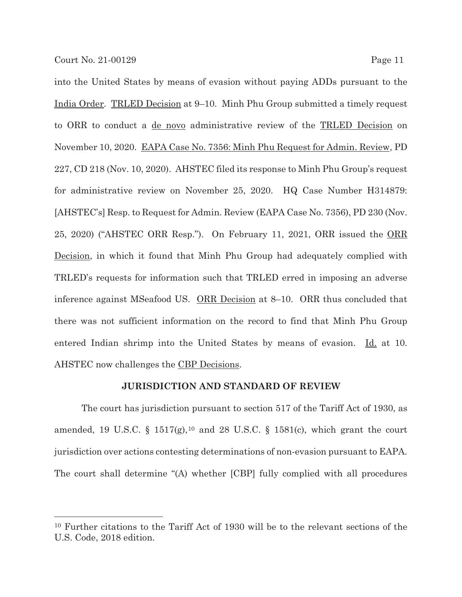into the United States by means of evasion without paying ADDs pursuant to the India Order. TRLED Decision at 9–10. Minh Phu Group submitted a timely request to ORR to conduct a de novo administrative review of the TRLED Decision on November 10, 2020. EAPA Case No. 7356: Minh Phu Request for Admin. Review, PD 227, CD 218 (Nov. 10, 2020). AHSTEC filed its response to Minh Phu Group's request for administrative review on November 25, 2020. HQ Case Number H314879: [AHSTEC's] Resp. to Request for Admin. Review (EAPA Case No. 7356), PD 230 (Nov. 25, 2020) ("AHSTEC ORR Resp."). On February 11, 2021, ORR issued the <u>ORR</u> Decision, in which it found that Minh Phu Group had adequately complied with TRLED's requests for information such that TRLED erred in imposing an adverse inference against MSeafood US. ORR Decision at 8–10. ORR thus concluded that there was not sufficient information on the record to find that Minh Phu Group entered Indian shrimp into the United States by means of evasion. Id. at 10. AHSTEC now challenges the CBP Decisions.

### **JURISDICTION AND STANDARD OF REVIEW**

 The court has jurisdiction pursuant to section 517 of the Tariff Act of 1930, as amended, 19 U.S.C. § 1517(g),<sup>10</sup> and 28 U.S.C. § 1581(c), which grant the court jurisdiction over actions contesting determinations of non-evasion pursuant to EAPA. The court shall determine "(A) whether [CBP] fully complied with all procedures

<sup>10</sup> Further citations to the Tariff Act of 1930 will be to the relevant sections of the U.S. Code, 2018 edition.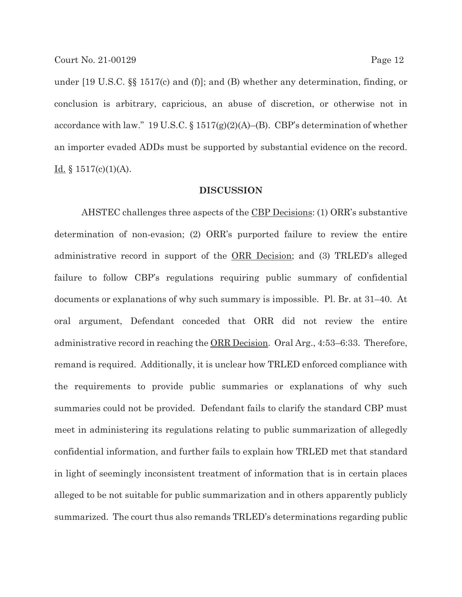under [19 U.S.C. §§ 1517(c) and (f)]; and (B) whether any determination, finding, or conclusion is arbitrary, capricious, an abuse of discretion, or otherwise not in accordance with law." 19 U.S.C.  $\S 1517(g)(2)(A)$ –(B). CBP's determination of whether an importer evaded ADDs must be supported by substantial evidence on the record. <u>Id.</u> § 1517(c)(1)(A).

#### **DISCUSSION**

AHSTEC challenges three aspects of the CBP Decisions: (1) ORR's substantive determination of non-evasion; (2) ORR's purported failure to review the entire administrative record in support of the ORR Decision; and (3) TRLED's alleged failure to follow CBP's regulations requiring public summary of confidential documents or explanations of why such summary is impossible. Pl. Br. at 31–40. At oral argument, Defendant conceded that ORR did not review the entire administrative record in reaching the ORR Decision. Oral Arg., 4:53–6:33. Therefore, remand is required. Additionally, it is unclear how TRLED enforced compliance with the requirements to provide public summaries or explanations of why such summaries could not be provided. Defendant fails to clarify the standard CBP must meet in administering its regulations relating to public summarization of allegedly confidential information, and further fails to explain how TRLED met that standard in light of seemingly inconsistent treatment of information that is in certain places alleged to be not suitable for public summarization and in others apparently publicly summarized. The court thus also remands TRLED's determinations regarding public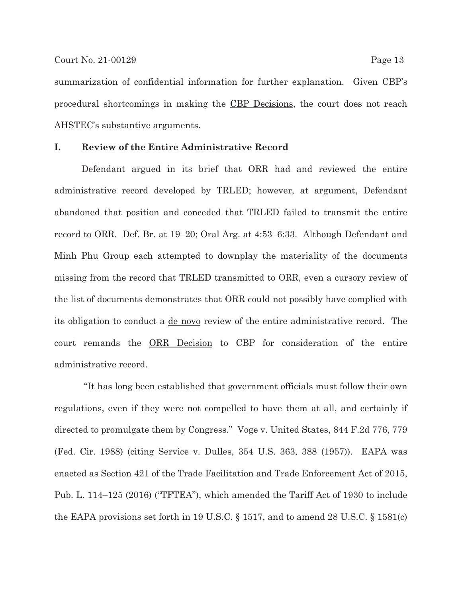summarization of confidential information for further explanation. Given CBP's procedural shortcomings in making the CBP Decisions, the court does not reach AHSTEC's substantive arguments.

### **I. Review of the Entire Administrative Record**

Defendant argued in its brief that ORR had and reviewed the entire administrative record developed by TRLED; however, at argument, Defendant abandoned that position and conceded that TRLED failed to transmit the entire record to ORR. Def. Br. at 19–20; Oral Arg. at 4:53–6:33. Although Defendant and Minh Phu Group each attempted to downplay the materiality of the documents missing from the record that TRLED transmitted to ORR, even a cursory review of the list of documents demonstrates that ORR could not possibly have complied with its obligation to conduct a de novo review of the entire administrative record. The court remands the ORR Decision to CBP for consideration of the entire administrative record.

 "It has long been established that government officials must follow their own regulations, even if they were not compelled to have them at all, and certainly if directed to promulgate them by Congress." <u>Voge v. United States</u>, 844 F.2d 776, 779 (Fed. Cir. 1988) (citing Service v. Dulles, 354 U.S. 363, 388 (1957)). EAPA was enacted as Section 421 of the Trade Facilitation and Trade Enforcement Act of 2015, Pub. L. 114–125 (2016) ("TFTEA"), which amended the Tariff Act of 1930 to include the EAPA provisions set forth in 19 U.S.C. § 1517, and to amend 28 U.S.C. § 1581(c)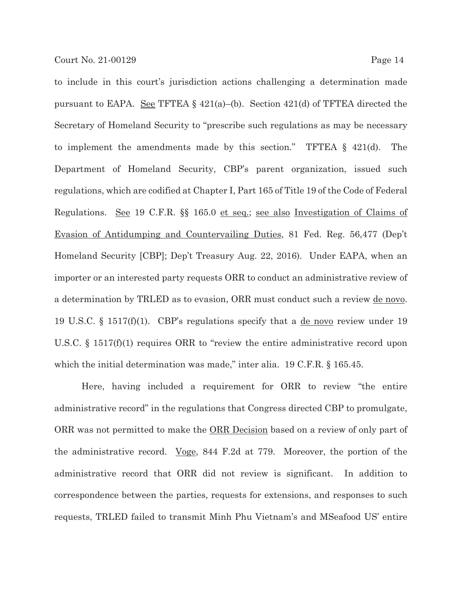to include in this court's jurisdiction actions challenging a determination made pursuant to EAPA. See TFTEA § 421(a)–(b). Section 421(d) of TFTEA directed the Secretary of Homeland Security to "prescribe such regulations as may be necessary to implement the amendments made by this section." TFTEA § 421(d). The Department of Homeland Security, CBP's parent organization, issued such regulations, which are codified at Chapter I, Part 165 of Title 19 of the Code of Federal Regulations. See 19 C.F.R. §§ 165.0 et seq.; see also Investigation of Claims of Evasion of Antidumping and Countervailing Duties, 81 Fed. Reg. 56,477 (Dep't Homeland Security [CBP]; Dep't Treasury Aug. 22, 2016). Under EAPA, when an importer or an interested party requests ORR to conduct an administrative review of a determination by TRLED as to evasion, ORR must conduct such a review de novo. 19 U.S.C. § 1517(f)(1). CBP's regulations specify that a de novo review under 19 U.S.C. § 1517(f)(1) requires ORR to "review the entire administrative record upon which the initial determination was made," inter alia. 19 C.F.R. § 165.45.

Here, having included a requirement for ORR to review "the entire administrative record" in the regulations that Congress directed CBP to promulgate, ORR was not permitted to make the ORR Decision based on a review of only part of the administrative record. Voge, 844 F.2d at 779. Moreover, the portion of the administrative record that ORR did not review is significant. In addition to correspondence between the parties, requests for extensions, and responses to such requests, TRLED failed to transmit Minh Phu Vietnam's and MSeafood US' entire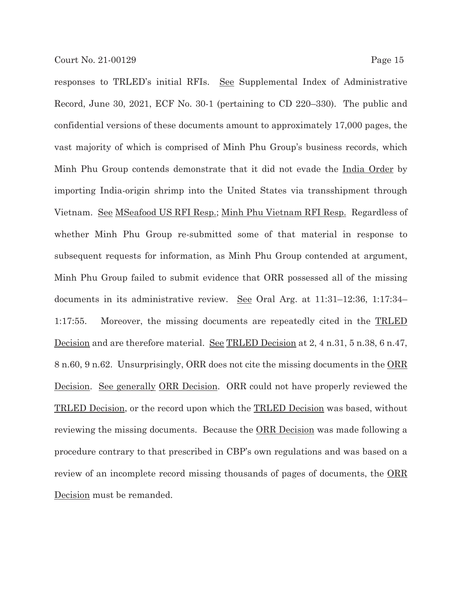responses to TRLED's initial RFIs. See Supplemental Index of Administrative Record, June 30, 2021, ECF No. 30-1 (pertaining to CD 220–330). The public and confidential versions of these documents amount to approximately 17,000 pages, the vast majority of which is comprised of Minh Phu Group's business records, which Minh Phu Group contends demonstrate that it did not evade the India Order by importing India-origin shrimp into the United States via transshipment through Vietnam. See MSeafood US RFI Resp.; Minh Phu Vietnam RFI Resp. Regardless of whether Minh Phu Group re-submitted some of that material in response to subsequent requests for information, as Minh Phu Group contended at argument, Minh Phu Group failed to submit evidence that ORR possessed all of the missing documents in its administrative review. See Oral Arg. at 11:31–12:36, 1:17:34– 1:17:55. Moreover, the missing documents are repeatedly cited in the TRLED Decision and are therefore material. See TRLED Decision at 2, 4 n.31, 5 n.38, 6 n.47, 8 n.60, 9 n.62. Unsurprisingly, ORR does not cite the missing documents in the ORR Decision. See generally ORR Decision. ORR could not have properly reviewed the TRLED Decision, or the record upon which the TRLED Decision was based, without reviewing the missing documents. Because the <u>ORR Decision</u> was made following a procedure contrary to that prescribed in CBP's own regulations and was based on a review of an incomplete record missing thousands of pages of documents, the ORR Decision must be remanded.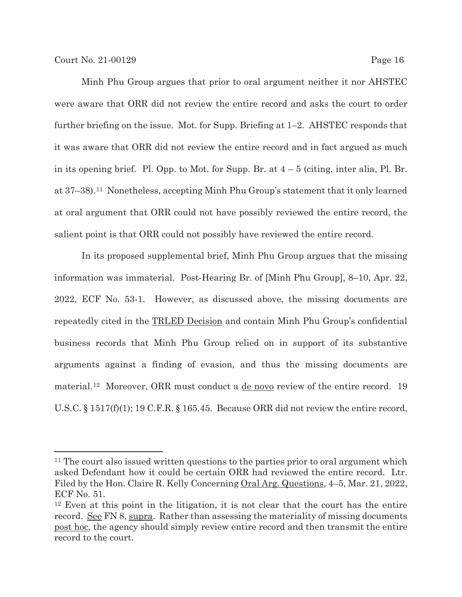Minh Phu Group argues that prior to oral argument neither it nor AHSTEC were aware that ORR did not review the entire record and asks the court to order further briefing on the issue. Mot. for Supp. Briefing at 1–2. AHSTEC responds that it was aware that ORR did not review the entire record and in fact argued as much in its opening brief. Pl. Opp. to Mot. for Supp. Br. at  $4-5$  (citing, inter alia, Pl. Br. at 37–38).11 Nonetheless, accepting Minh Phu Group's statement that it only learned at oral argument that ORR could not have possibly reviewed the entire record, the salient point is that ORR could not possibly have reviewed the entire record.

In its proposed supplemental brief, Minh Phu Group argues that the missing information was immaterial. Post-Hearing Br. of [Minh Phu Group], 8–10, Apr. 22, 2022, ECF No. 53-1. However, as discussed above, the missing documents are repeatedly cited in the TRLED Decision and contain Minh Phu Group's confidential business records that Minh Phu Group relied on in support of its substantive arguments against a finding of evasion, and thus the missing documents are material.12 Moreover, ORR must conduct a de novo review of the entire record. 19 U.S.C. § 1517(f)(1); 19 C.F.R. § 165.45. Because ORR did not review the entire record,

<sup>&</sup>lt;sup>11</sup> The court also issued written questions to the parties prior to oral argument which asked Defendant how it could be certain ORR had reviewed the entire record. Ltr. Filed by the Hon. Claire R. Kelly Concerning Oral Arg. Questions, 4–5, Mar. 21, 2022, ECF No. 51.

<sup>12</sup> Even at this point in the litigation, it is not clear that the court has the entire record. See FN 8, supra. Rather than assessing the materiality of missing documents post hoc, the agency should simply review entire record and then transmit the entire record to the court.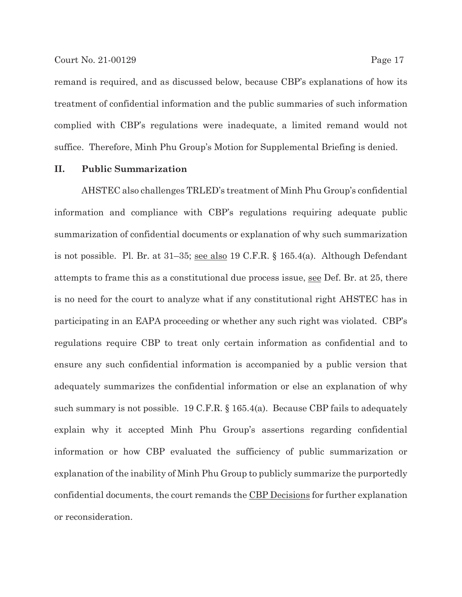remand is required, and as discussed below, because CBP's explanations of how its treatment of confidential information and the public summaries of such information complied with CBP's regulations were inadequate, a limited remand would not suffice. Therefore, Minh Phu Group's Motion for Supplemental Briefing is denied.

#### **II. Public Summarization**

AHSTEC also challenges TRLED's treatment of Minh Phu Group's confidential information and compliance with CBP's regulations requiring adequate public summarization of confidential documents or explanation of why such summarization is not possible. Pl. Br. at  $31-35$ ; <u>see also</u> 19 C.F.R. § 165.4(a). Although Defendant attempts to frame this as a constitutional due process issue, see Def. Br. at 25, there is no need for the court to analyze what if any constitutional right AHSTEC has in participating in an EAPA proceeding or whether any such right was violated. CBP's regulations require CBP to treat only certain information as confidential and to ensure any such confidential information is accompanied by a public version that adequately summarizes the confidential information or else an explanation of why such summary is not possible. 19 C.F.R.  $\S$  165.4(a). Because CBP fails to adequately explain why it accepted Minh Phu Group's assertions regarding confidential information or how CBP evaluated the sufficiency of public summarization or explanation of the inability of Minh Phu Group to publicly summarize the purportedly confidential documents, the court remands the CBP Decisions for further explanation or reconsideration.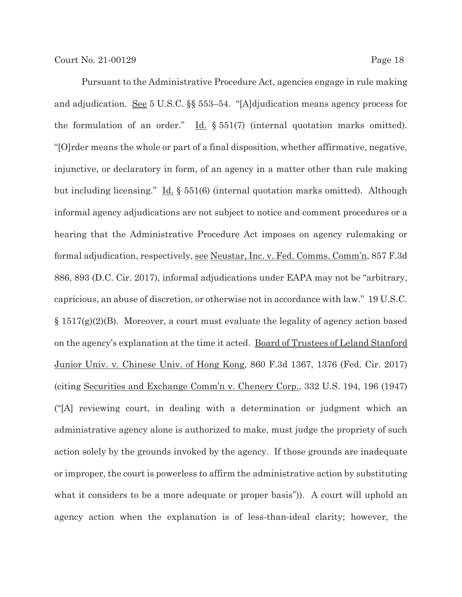Pursuant to the Administrative Procedure Act, agencies engage in rule making and adjudication. See 5 U.S.C. §§ 553–54. "[A]djudication means agency process for the formulation of an order." Id. § 551(7) (internal quotation marks omitted). "[O]rder means the whole or part of a final disposition, whether affirmative, negative, injunctive, or declaratory in form, of an agency in a matter other than rule making but including licensing." Id. § 551(6) (internal quotation marks omitted). Although informal agency adjudications are not subject to notice and comment procedures or a hearing that the Administrative Procedure Act imposes on agency rulemaking or formal adjudication, respectively, see Neustar, Inc. v. Fed. Comms. Comm'n, 857 F.3d 886, 893 (D.C. Cir. 2017), informal adjudications under EAPA may not be "arbitrary, capricious, an abuse of discretion, or otherwise not in accordance with law." 19 U.S.C. § 1517(g)(2)(B). Moreover, a court must evaluate the legality of agency action based on the agency's explanation at the time it acted. Board of Trustees of Leland Stanford Junior Univ. v. Chinese Univ. of Hong Kong, 860 F.3d 1367, 1376 (Fed. Cir. 2017) (citing Securities and Exchange Comm'n v. Chenery Corp., 332 U.S. 194, 196 (1947) ("[A] reviewing court, in dealing with a determination or judgment which an administrative agency alone is authorized to make, must judge the propriety of such action solely by the grounds invoked by the agency. If those grounds are inadequate or improper, the court is powerless to affirm the administrative action by substituting what it considers to be a more adequate or proper basis"). A court will uphold an agency action when the explanation is of less-than-ideal clarity; however, the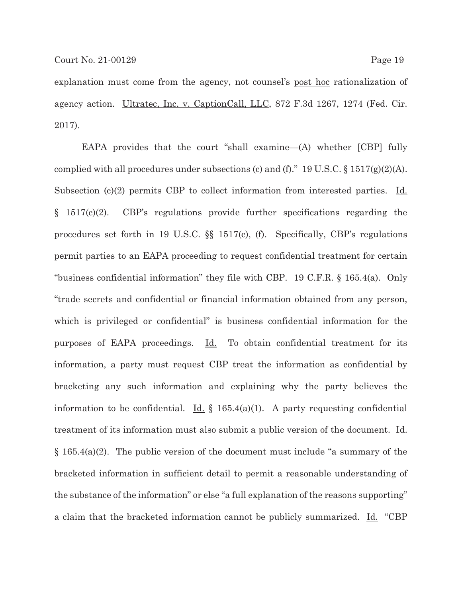explanation must come from the agency, not counsel's post hoc rationalization of agency action. Ultratec, Inc. v. CaptionCall, LLC, 872 F.3d 1267, 1274 (Fed. Cir. 2017).

EAPA provides that the court "shall examine—(A) whether [CBP] fully complied with all procedures under subsections (c) and (f)."  $19 \text{ U.S.C.} \$   $1517(g)(2)(\text{A})$ . Subsection (c)(2) permits CBP to collect information from interested parties. Id. § 1517(c)(2). CBP's regulations provide further specifications regarding the procedures set forth in 19 U.S.C. §§ 1517(c), (f). Specifically, CBP's regulations permit parties to an EAPA proceeding to request confidential treatment for certain "business confidential information" they file with CBP. 19 C.F.R. § 165.4(a). Only "trade secrets and confidential or financial information obtained from any person, which is privileged or confidential" is business confidential information for the purposes of EAPA proceedings. Id. To obtain confidential treatment for its information, a party must request CBP treat the information as confidential by bracketing any such information and explaining why the party believes the information to be confidential. <u>Id.</u>  $\oint$  165.4(a)(1). A party requesting confidential treatment of its information must also submit a public version of the document. Id. § 165.4(a)(2). The public version of the document must include "a summary of the bracketed information in sufficient detail to permit a reasonable understanding of the substance of the information" or else "a full explanation of the reasons supporting" a claim that the bracketed information cannot be publicly summarized. Id. "CBP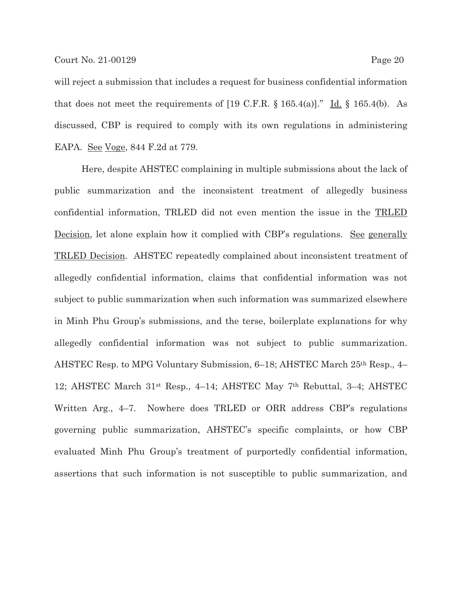will reject a submission that includes a request for business confidential information that does not meet the requirements of  $[19 \text{ C.F.R. } § 165.4(a)]$ ." Id. § 165.4(b). As discussed, CBP is required to comply with its own regulations in administering EAPA. See Voge, 844 F.2d at 779.

Here, despite AHSTEC complaining in multiple submissions about the lack of public summarization and the inconsistent treatment of allegedly business confidential information, TRLED did not even mention the issue in the TRLED Decision, let alone explain how it complied with CBP's regulations. See generally TRLED Decision. AHSTEC repeatedly complained about inconsistent treatment of allegedly confidential information, claims that confidential information was not subject to public summarization when such information was summarized elsewhere in Minh Phu Group's submissions, and the terse, boilerplate explanations for why allegedly confidential information was not subject to public summarization. AHSTEC Resp. to MPG Voluntary Submission, 6–18; AHSTEC March 25th Resp., 4– 12; AHSTEC March 31st Resp., 4–14; AHSTEC May 7th Rebuttal, 3–4; AHSTEC Written Arg., 4–7. Nowhere does TRLED or ORR address CBP's regulations governing public summarization, AHSTEC's specific complaints, or how CBP evaluated Minh Phu Group's treatment of purportedly confidential information, assertions that such information is not susceptible to public summarization, and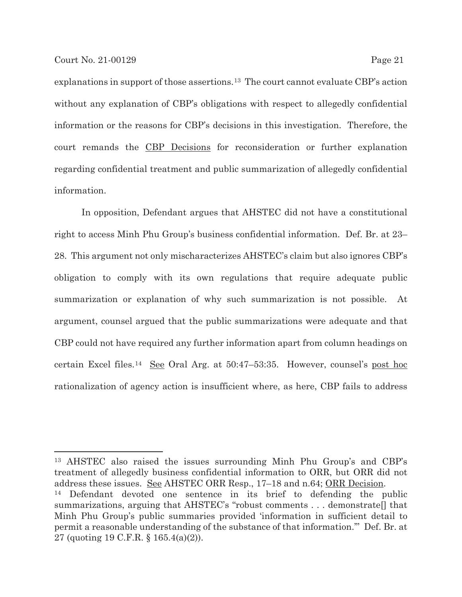explanations in support of those assertions.13 The court cannot evaluate CBP's action without any explanation of CBP's obligations with respect to allegedly confidential information or the reasons for CBP's decisions in this investigation. Therefore, the court remands the CBP Decisions for reconsideration or further explanation regarding confidential treatment and public summarization of allegedly confidential information.

In opposition, Defendant argues that AHSTEC did not have a constitutional right to access Minh Phu Group's business confidential information. Def. Br. at 23– 28. This argument not only mischaracterizes AHSTEC's claim but also ignores CBP's obligation to comply with its own regulations that require adequate public summarization or explanation of why such summarization is not possible. At argument, counsel argued that the public summarizations were adequate and that CBP could not have required any further information apart from column headings on certain Excel files.14 See Oral Arg. at 50:47–53:35. However, counsel's post hoc rationalization of agency action is insufficient where, as here, CBP fails to address

13 AHSTEC also raised the issues surrounding Minh Phu Group's and CBP's treatment of allegedly business confidential information to ORR, but ORR did not address these issues. See AHSTEC ORR Resp., 17–18 and n.64; ORR Decision. 14 Defendant devoted one sentence in its brief to defending the public summarizations, arguing that AHSTEC's "robust comments . . . demonstrate[] that Minh Phu Group's public summaries provided 'information in sufficient detail to permit a reasonable understanding of the substance of that information.'" Def. Br. at

27 (quoting 19 C.F.R. § 165.4(a)(2)).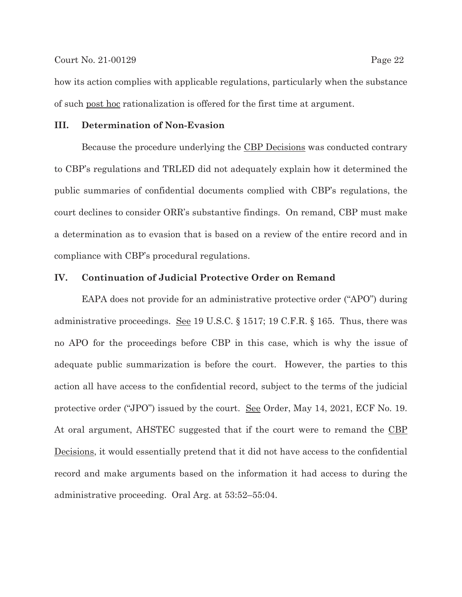how its action complies with applicable regulations, particularly when the substance of such post hoc rationalization is offered for the first time at argument.

#### **III. Determination of Non-Evasion**

Because the procedure underlying the CBP Decisions was conducted contrary to CBP's regulations and TRLED did not adequately explain how it determined the public summaries of confidential documents complied with CBP's regulations, the court declines to consider ORR's substantive findings. On remand, CBP must make a determination as to evasion that is based on a review of the entire record and in compliance with CBP's procedural regulations.

### **IV. Continuation of Judicial Protective Order on Remand**

EAPA does not provide for an administrative protective order ("APO") during administrative proceedings. See 19 U.S.C. § 1517; 19 C.F.R. § 165. Thus, there was no APO for the proceedings before CBP in this case, which is why the issue of adequate public summarization is before the court. However, the parties to this action all have access to the confidential record, subject to the terms of the judicial protective order ("JPO") issued by the court. See Order, May 14, 2021, ECF No. 19. At oral argument, AHSTEC suggested that if the court were to remand the CBP Decisions, it would essentially pretend that it did not have access to the confidential record and make arguments based on the information it had access to during the administrative proceeding. Oral Arg. at 53:52–55:04.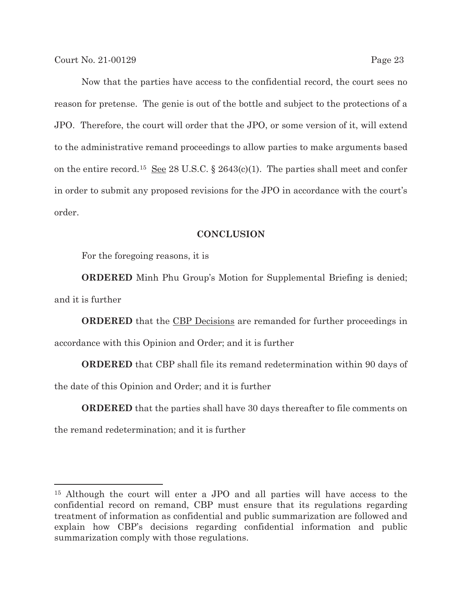Now that the parties have access to the confidential record, the court sees no reason for pretense. The genie is out of the bottle and subject to the protections of a JPO. Therefore, the court will order that the JPO, or some version of it, will extend to the administrative remand proceedings to allow parties to make arguments based on the entire record.<sup>15</sup> See 28 U.S.C. § 2643(c)(1). The parties shall meet and confer in order to submit any proposed revisions for the JPO in accordance with the court's order.

#### **CONCLUSION**

For the foregoing reasons, it is

**ORDERED** Minh Phu Group's Motion for Supplemental Briefing is denied; and it is further

**ORDERED** that the CBP Decisions are remanded for further proceedings in accordance with this Opinion and Order; and it is further

**ORDERED** that CBP shall file its remand redetermination within 90 days of the date of this Opinion and Order; and it is further

**ORDERED** that the parties shall have 30 days thereafter to file comments on the remand redetermination; and it is further

<sup>15</sup> Although the court will enter a JPO and all parties will have access to the confidential record on remand, CBP must ensure that its regulations regarding treatment of information as confidential and public summarization are followed and explain how CBP's decisions regarding confidential information and public summarization comply with those regulations.